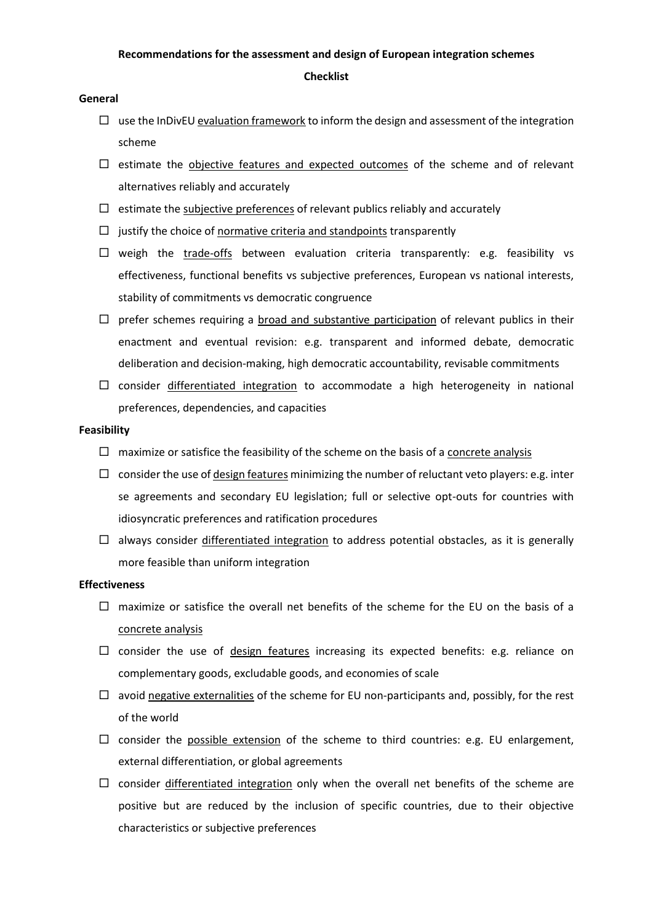# **Recommendations for the assessment and design of European integration schemes Checklist**

## **General**

- $\Box$  use the InDivEU evaluation framework to inform the design and assessment of the integration scheme
- $\square$  estimate the objective features and expected outcomes of the scheme and of relevant alternatives reliably and accurately
- $\Box$  estimate the subjective preferences of relevant publics reliably and accurately
- $\Box$  justify the choice of normative criteria and standpoints transparently
- $\Box$  weigh the trade-offs between evaluation criteria transparently: e.g. feasibility vs effectiveness, functional benefits vs subjective preferences, European vs national interests, stability of commitments vs democratic congruence
- $\Box$  prefer schemes requiring a broad and substantive participation of relevant publics in their enactment and eventual revision: e.g. transparent and informed debate, democratic deliberation and decision-making, high democratic accountability, revisable commitments
- $\Box$  consider differentiated integration to accommodate a high heterogeneity in national preferences, dependencies, and capacities

## **Feasibility**

- $\Box$  maximize or satisfice the feasibility of the scheme on the basis of a concrete analysis
- $\Box$  consider the use of design features minimizing the number of reluctant veto players: e.g. inter se agreements and secondary EU legislation; full or selective opt-outs for countries with idiosyncratic preferences and ratification procedures
- $\Box$  always consider differentiated integration to address potential obstacles, as it is generally more feasible than uniform integration

# **Effectiveness**

- $\Box$  maximize or satisfice the overall net benefits of the scheme for the EU on the basis of a concrete analysis
- $\square$  consider the use of design features increasing its expected benefits: e.g. reliance on complementary goods, excludable goods, and economies of scale
- $\Box$  avoid negative externalities of the scheme for EU non-participants and, possibly, for the rest of the world
- $\square$  consider the possible extension of the scheme to third countries: e.g. EU enlargement, external differentiation, or global agreements
- $\square$  consider differentiated integration only when the overall net benefits of the scheme are positive but are reduced by the inclusion of specific countries, due to their objective characteristics or subjective preferences